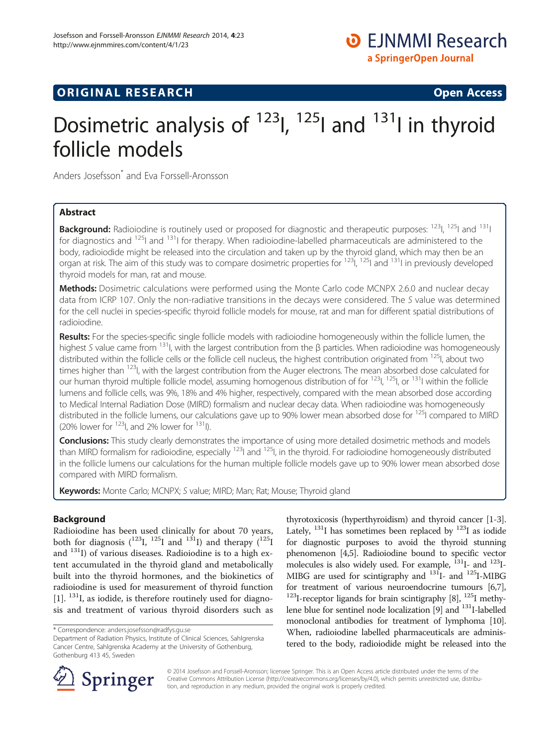# **ORIGINAL RESEARCH CONSUMING A RESEARCH CONSUMING A RESEARCH**

# Dosimetric analysis of  $123$ ,  $125$  and  $131$  in thyroid follicle models

Anders Josefsson\* and Eva Forssell-Aronsson

# Abstract

Background: Radioiodine is routinely used or proposed for diagnostic and therapeutic purposes: <sup>123</sup>l, <sup>125</sup>l and <sup>131</sup>l for diagnostics and <sup>125</sup>l and <sup>131</sup>l for therapy. When radioiodine-labelled pharmaceuticals are administered to the body, radioiodide might be released into the circulation and taken up by the thyroid gland, which may then be an organ at risk. The aim of this study was to compare dosimetric properties for  $^{123}$ ,  $^{125}$ I and  $^{131}$ I in previously developed thyroid models for man, rat and mouse.

Methods: Dosimetric calculations were performed using the Monte Carlo code MCNPX 2.6.0 and nuclear decay data from ICRP 107. Only the non-radiative transitions in the decays were considered. The S value was determined for the cell nuclei in species-specific thyroid follicle models for mouse, rat and man for different spatial distributions of radioiodine.

Results: For the species-specific single follicle models with radioiodine homogeneously within the follicle lumen, the highest S value came from 131I, with the largest contribution from the β particles. When radioiodine was homogeneously distributed within the follicle cells or the follicle cell nucleus, the highest contribution originated from  $125$ , about two times higher than <sup>123</sup>I, with the largest contribution from the Auger electrons. The mean absorbed dose calculated for our human thyroid multiple follicle model, assuming homogenous distribution of for <sup>123</sup>I, <sup>125</sup>I, or <sup>131</sup>I within the follicle lumens and follicle cells, was 9%, 18% and 4% higher, respectively, compared with the mean absorbed dose according to Medical Internal Radiation Dose (MIRD) formalism and nuclear decay data. When radioiodine was homogeneously distributed in the follicle lumens, our calculations gave up to 90% lower mean absorbed dose for <sup>125</sup>I compared to MIRD (20% lower for  $^{123}$ l, and 2% lower for  $^{131}$ l).

Conclusions: This study clearly demonstrates the importance of using more detailed dosimetric methods and models than MIRD formalism for radioiodine, especially <sup>123</sup>I and <sup>125</sup>I, in the thyroid. For radioiodine homogeneously distributed in the follicle lumens our calculations for the human multiple follicle models gave up to 90% lower mean absorbed dose compared with MIRD formalism.

Keywords: Monte Carlo; MCNPX; S value; MIRD; Man; Rat; Mouse; Thyroid gland

# Background

Radioiodine has been used clinically for about 70 years, both for diagnosis  $(^{123}I, ^{125}I$  and  $^{131}I)$  and therapy  $(^{125}I)$ and <sup>131</sup>I) of various diseases. Radioiodine is to a high extent accumulated in the thyroid gland and metabolically built into the thyroid hormones, and the biokinetics of radioiodine is used for measurement of thyroid function [[1\]](#page-10-0). <sup>131</sup>I, as iodide, is therefore routinely used for diagnosis and treatment of various thyroid disorders such as

thyrotoxicosis (hyperthyroidism) and thyroid cancer [\[1](#page-10-0)-[3](#page-10-0)]. Lately,  $^{131}$ I has sometimes been replaced by  $^{123}$ I as iodide for diagnostic purposes to avoid the thyroid stunning phenomenon [[4,5](#page-10-0)]. Radioiodine bound to specific vector molecules is also widely used. For example,  $^{131}$ I- and  $^{123}$ I-MIBG are used for scintigraphy and  $^{131}$ I- and  $^{125}$ I-MIBG for treatment of various neuroendocrine tumours [[6,7](#page-10-0)],  $123$ I-receptor ligands for brain scintigraphy [[8](#page-10-0)],  $125$ I methylene blue for sentinel node localization [\[9](#page-10-0)] and 131I-labelled monoclonal antibodies for treatment of lymphoma [\[10](#page-10-0)]. When, radioiodine labelled pharmaceuticals are administered to the body, radioiodide might be released into the



© 2014 Josefsson and Forssell-Aronsson; licensee Springer. This is an Open Access article distributed under the terms of the Creative Commons Attribution License (http://creativecommons.org/licenses/by/4.0), which permits unrestricted use, distribution, and reproduction in any medium, provided the original work is properly credited.

<sup>\*</sup> Correspondence: [anders.josefsson@radfys.gu.se](mailto:anders.josefsson@radfys.gu.se)

Department of Radiation Physics, Institute of Clinical Sciences, Sahlgrenska Cancer Centre, Sahlgrenska Academy at the University of Gothenburg, Gothenburg 413 45, Sweden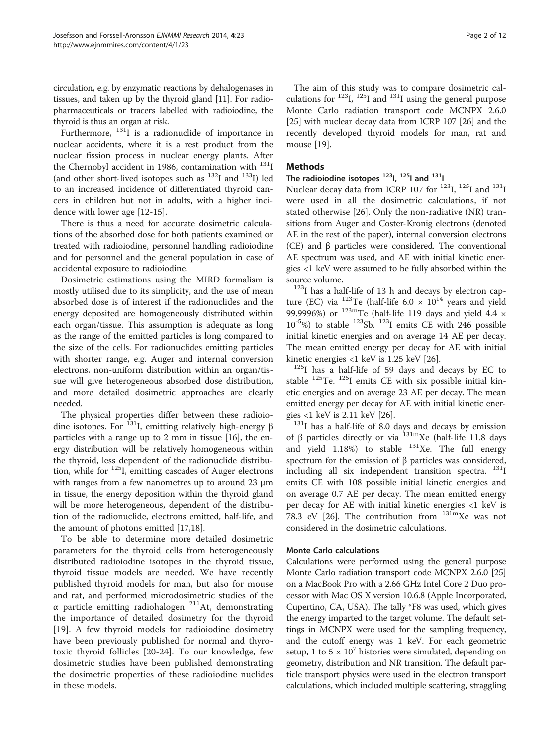circulation, e.g. by enzymatic reactions by dehalogenases in tissues, and taken up by the thyroid gland [\[11\]](#page-10-0). For radiopharmaceuticals or tracers labelled with radioiodine, the thyroid is thus an organ at risk.

Furthermore,  $^{131}I$  is a radionuclide of importance in nuclear accidents, where it is a rest product from the nuclear fission process in nuclear energy plants. After the Chernobyl accident in 1986, contamination with  $^{131}$ I (and other short-lived isotopes such as  $^{132}I$  and  $^{133}I$ ) led to an increased incidence of differentiated thyroid cancers in children but not in adults, with a higher incidence with lower age [\[12](#page-10-0)-[15\]](#page-10-0).

There is thus a need for accurate dosimetric calculations of the absorbed dose for both patients examined or treated with radioiodine, personnel handling radioiodine and for personnel and the general population in case of accidental exposure to radioiodine.

Dosimetric estimations using the MIRD formalism is mostly utilised due to its simplicity, and the use of mean absorbed dose is of interest if the radionuclides and the energy deposited are homogeneously distributed within each organ/tissue. This assumption is adequate as long as the range of the emitted particles is long compared to the size of the cells. For radionuclides emitting particles with shorter range, e.g. Auger and internal conversion electrons, non-uniform distribution within an organ/tissue will give heterogeneous absorbed dose distribution, and more detailed dosimetric approaches are clearly needed.

The physical properties differ between these radioiodine isotopes. For <sup>131</sup>I, emitting relatively high-energy β particles with a range up to 2 mm in tissue [[16](#page-10-0)], the energy distribution will be relatively homogeneous within the thyroid, less dependent of the radionuclide distribution, while for  $^{125}$ I, emitting cascades of Auger electrons with ranges from a few nanometres up to around 23 μm in tissue, the energy deposition within the thyroid gland will be more heterogeneous, dependent of the distribution of the radionuclide, electrons emitted, half-life, and the amount of photons emitted [\[17,18\]](#page-10-0).

To be able to determine more detailed dosimetric parameters for the thyroid cells from heterogeneously distributed radioiodine isotopes in the thyroid tissue, thyroid tissue models are needed. We have recently published thyroid models for man, but also for mouse and rat, and performed microdosimetric studies of the α particle emitting radiohalogen  $211$ At, demonstrating the importance of detailed dosimetry for the thyroid [[19\]](#page-10-0). A few thyroid models for radioiodine dosimetry have been previously published for normal and thyrotoxic thyroid follicles [[20-24\]](#page-10-0). To our knowledge, few dosimetric studies have been published demonstrating the dosimetric properties of these radioiodine nuclides in these models.

The aim of this study was to compare dosimetric calculations for  $^{123}$ I,  $^{125}$ I and  $^{131}$ I using the general purpose Monte Carlo radiation transport code MCNPX 2.6.0 [[25\]](#page-10-0) with nuclear decay data from ICRP 107 [[26\]](#page-10-0) and the recently developed thyroid models for man, rat and mouse [[19](#page-10-0)].

# **Methods**

#### The radioiodine isotopes  $^{123}$ I,  $^{125}$ I and  $^{131}$ I

Nuclear decay data from ICRP 107 for  $^{123}\mathrm{I},$   $^{125}\mathrm{I}$  and  $^{131}\mathrm{I}$ were used in all the dosimetric calculations, if not stated otherwise [[26\]](#page-10-0). Only the non-radiative (NR) transitions from Auger and Coster-Kronig electrons (denoted AE in the rest of the paper), internal conversion electrons (CE) and β particles were considered. The conventional AE spectrum was used, and AE with initial kinetic energies <1 keV were assumed to be fully absorbed within the

source volume.<br> $123I$  has a half-life of 13 h and decays by electron capture (EC) via <sup>123</sup>Te (half-life  $6.0 \times 10^{14}$  years and yield 99.9996%) or  $^{123m}$ Te (half-life 119 days and yield 4.4  $\times$  $10^{-5}$ %) to stable  $^{123}$ Sb.  $^{123}$ I emits CE with 246 possible initial kinetic energies and on average 14 AE per decay. The mean emitted energy per decay for AE with initial

kinetic energies <1 keV is 1.25 keV [[26\]](#page-10-0).<br> $^{125}$ I has a half-life of 59 days and decays by EC to stable  $^{125}$ Te.  $^{125}$ I emits CE with six possible initial kinetic energies and on average 23 AE per decay. The mean emitted energy per decay for AE with initial kinetic ener-

gies <1 keV is 2.11 keV [[26](#page-10-0)].<br> $131$ I has a half-life of 8.0 days and decays by emission of β particles directly or via  $131mXe$  (half-life 11.8 days and yield  $1.18\%$ ) to stable  $131$ Xe. The full energy spectrum for the emission of β particles was considered, including all six independent transition spectra. <sup>131</sup>I emits CE with 108 possible initial kinetic energies and on average 0.7 AE per decay. The mean emitted energy per decay for AE with initial kinetic energies <1 keV is 78.3 eV [\[26](#page-10-0)]. The contribution from  $^{131m}$ Xe was not considered in the dosimetric calculations.

## Monte Carlo calculations

Calculations were performed using the general purpose Monte Carlo radiation transport code MCNPX 2.6.0 [[25](#page-10-0)] on a MacBook Pro with a 2.66 GHz Intel Core 2 Duo processor with Mac OS X version 10.6.8 (Apple Incorporated, Cupertino, CA, USA). The tally \*F8 was used, which gives the energy imparted to the target volume. The default settings in MCNPX were used for the sampling frequency, and the cutoff energy was 1 keV. For each geometric setup, 1 to  $5 \times 10^7$  histories were simulated, depending on geometry, distribution and NR transition. The default particle transport physics were used in the electron transport calculations, which included multiple scattering, straggling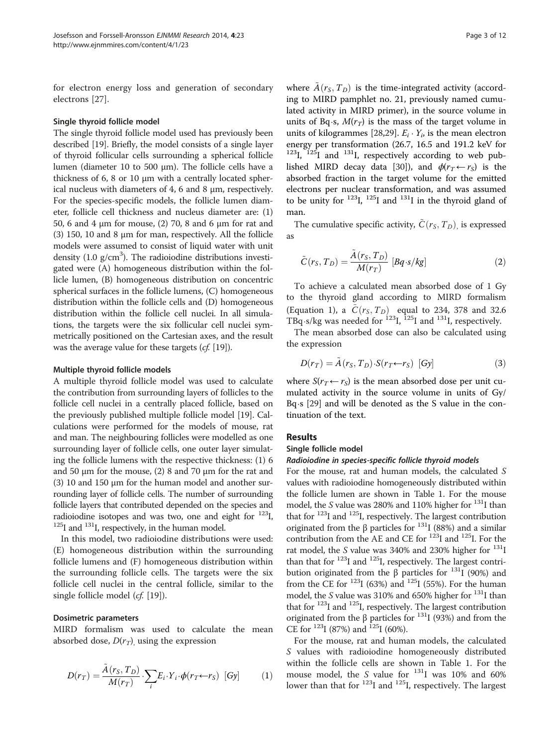<span id="page-2-0"></span>for electron energy loss and generation of secondary electrons [[27\]](#page-10-0).

#### Single thyroid follicle model

The single thyroid follicle model used has previously been described [[19](#page-10-0)]. Briefly, the model consists of a single layer of thyroid follicular cells surrounding a spherical follicle lumen (diameter 10 to 500 μm). The follicle cells have a thickness of 6, 8 or 10 μm with a centrally located spherical nucleus with diameters of 4, 6 and 8 μm, respectively. For the species-specific models, the follicle lumen diameter, follicle cell thickness and nucleus diameter are: (1) 50, 6 and 4 μm for mouse, (2) 70, 8 and 6 μm for rat and (3) 150, 10 and 8 μm for man, respectively. All the follicle models were assumed to consist of liquid water with unit density (1.0  $g/cm<sup>3</sup>$ ). The radioiodine distributions investigated were (A) homogeneous distribution within the follicle lumen, (B) homogeneous distribution on concentric spherical surfaces in the follicle lumens, (C) homogeneous distribution within the follicle cells and (D) homogeneous distribution within the follicle cell nuclei. In all simulations, the targets were the six follicular cell nuclei symmetrically positioned on the Cartesian axes, and the result was the average value for these targets  $(cf. [19])$  $(cf. [19])$  $(cf. [19])$ .

#### Multiple thyroid follicle models

A multiple thyroid follicle model was used to calculate the contribution from surrounding layers of follicles to the follicle cell nuclei in a centrally placed follicle, based on the previously published multiple follicle model [[19](#page-10-0)]. Calculations were performed for the models of mouse, rat and man. The neighbouring follicles were modelled as one surrounding layer of follicle cells, one outer layer simulating the follicle lumens with the respective thickness: (1) 6 and 50  $\mu$ m for the mouse, (2) 8 and 70  $\mu$ m for the rat and (3) 10 and 150 μm for the human model and another surrounding layer of follicle cells. The number of surrounding follicle layers that contributed depended on the species and radioiodine isotopes and was two, one and eight for  $^{123}I$ ,  $^{125}I$  and  $^{131}I$ , respectively, in the human model.

In this model, two radioiodine distributions were used: (E) homogeneous distribution within the surrounding follicle lumens and (F) homogeneous distribution within the surrounding follicle cells. The targets were the six follicle cell nuclei in the central follicle, similar to the single follicle model (*cf.* [\[19](#page-10-0)]).

#### Dosimetric parameters

MIRD formalism was used to calculate the mean absorbed dose,  $D(r_T)$  using the expression

$$
D(r_T) = \frac{\tilde{A}(r_S, T_D)}{M(r_T)} \cdot \sum_i E_i \cdot Y_i \cdot \phi(r_T \leftarrow r_S) \quad [Gy] \tag{1}
$$

where  $A(r_S, T_D)$  is the time-integrated activity (according to MIRD pamphlet no. 21, previously named cumulated activity in MIRD primer), in the source volume in units of Bq⋅s,  $M(r_T)$  is the mass of the target volume in units of kilogrammes [[28,29](#page-10-0)].  $E_i \cdot Y_i$  is the mean electron energy per transformation (26.7, 16.5 and 191.2 keV for  $123$ <sub>I</sub>,  $125$ <sub>I</sub> and  $131$ <sub>I</sub>, respectively according to web pub-lished MIRD decay data [[30\]](#page-10-0)), and  $\phi(r_T \leftarrow r_S)$  is the absorbed fraction in the target volume for the emitted electrons per nuclear transformation, and was assumed to be unity for  $^{123}I$ ,  $^{125}I$  and  $^{131}I$  in the thyroid gland of man.

The cumulative specific activity,  $\tilde{C}(r_S, T_D)$  is expressed as

$$
\tilde{C}(r_S, T_D) = \frac{\tilde{A}(r_S, T_D)}{M(r_T)} [Bq \cdot s/kg]
$$
\n(2)

To achieve a calculated mean absorbed dose of 1 Gy to the thyroid gland according to MIRD formalism (Equation 1), a  $\tilde{C}(r_S, T_D)$  equal to 234, 378 and 32.6 TBq⋅s/kg was needed for  $^{123}I$ ,  $^{125}I$  and  $^{131}I$ , respectively.

The mean absorbed dose can also be calculated using the expression

$$
D(r_T) = \tilde{A}(r_S, T_D) \cdot S(r_T \leftarrow r_S) \quad [Gy]
$$
 (3)

where  $S(r_T \leftarrow r_S)$  is the mean absorbed dose per unit cumulated activity in the source volume in units of Gy/ Bq⋅s [\[29](#page-10-0)] and will be denoted as the S value in the continuation of the text.

# Results

# Single follicle model

#### Radioiodine in species-specific follicle thyroid models

For the mouse, rat and human models, the calculated S values with radioiodine homogeneously distributed within the follicle lumen are shown in Table [1](#page-4-0). For the mouse model, the S value was 280% and 110% higher for  $^{131}$ I than that for  $123$ I and  $125$ I, respectively. The largest contribution originated from the β particles for  $131$  (88%) and a similar contribution from the AE and CE for  $^{123}$ I and  $^{125}$ I. For the rat model, the S value was 340% and 230% higher for  $^{131}$ I than that for  $^{123}$ I and  $^{125}$ I, respectively. The largest contribution originated from the β particles for  $131$  (90%) and from the CE for  $^{123}$ I (63%) and  $^{125}$ I (55%). For the human model, the S value was 310% and 650% higher for  $131$  than that for <sup>123</sup>I and <sup>125</sup>I, respectively. The largest contribution originated from the β particles for  $131$  (93%) and from the CE for  $^{123}$ I (87%) and  $^{125}$ I (60%).

For the mouse, rat and human models, the calculated S values with radioiodine homogeneously distributed within the follicle cells are shown in Table [1](#page-4-0). For the mouse model, the S value for  $^{131}$ I was 10% and 60% lower than that for <sup>123</sup>I and <sup>125</sup>I, respectively. The largest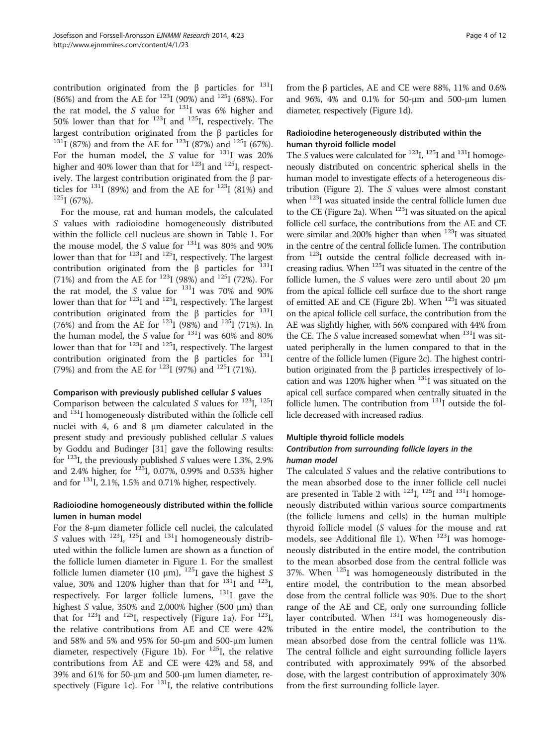contribution originated from the  $\beta$  particles for  $^{131}I$ (86%) and from the AE for  $^{123}$ I (90%) and  $^{125}$ I (68%). For the rat model, the S value for  $131$  was 6% higher and 50% lower than that for <sup>123</sup>I and <sup>125</sup>I, respectively. The largest contribution originated from the  $\beta$  particles for  $\frac{1311}{1}$  (87%) and from the AE for <sup>123</sup>I (87%) and <sup>125</sup>I (67%). For the human model, the S value for  $131$  was  $20\%$ higher and 40% lower than that for  $123$ I and  $125$ I, respectively. The largest contribution originated from the β particles for <sup>131</sup>I (89%) and from the AE for <sup>123</sup>I (81%) and <sup>125</sup>I (67%).

For the mouse, rat and human models, the calculated S values with radioiodine homogeneously distributed within the follicle cell nucleus are shown in Table [1](#page-4-0). For the mouse model, the S value for  $131$  was 80% and 90% lower than that for <sup>123</sup>I and <sup>125</sup>I, respectively. The largest contribution originated from the  $\beta$  particles for <sup>131</sup>I (71%) and from the AE for  $^{123}$ I (98%) and  $^{125}$ I (72%). For the rat model, the S value for  $^{131}$ I was 70% and 90% lower than that for <sup>123</sup>I and <sup>125</sup>I, respectively. The largest contribution originated from the β particles for  $131$ I (76%) and from the AE for  $^{123}$ I (98%) and  $^{125}$ I (71%). In the human model, the S value for  $^{131}$ I was 60% and 80% lower than that for  $123$ I and  $125$ I, respectively. The largest contribution originated from the β particles for  $131$ I (79%) and from the AE for 123I (97%) and 125I (71%).

#### Comparison with previously published cellular S values

Comparison between the calculated S values for  $^{123}I$ ,  $^{125}I$ and 131I homogeneously distributed within the follicle cell nuclei with 4, 6 and 8 μm diameter calculated in the present study and previously published cellular S values by Goddu and Budinger [\[31\]](#page-10-0) gave the following results: for  $123$ I, the previously published S values were 1.3%, 2.9% and 2.4% higher, for 125I, 0.07%, 0.99% and 0.53% higher and for 131I, 2.1%, 1.5% and 0.71% higher, respectively.

# Radioiodine homogeneously distributed within the follicle lumen in human model

For the 8-μm diameter follicle cell nuclei, the calculated S values with  $^{123}$ I,  $^{125}$ I and  $^{131}$ I homogeneously distributed within the follicle lumen are shown as a function of the follicle lumen diameter in Figure [1](#page-5-0). For the smallest follicle lumen diameter (10  $\mu$ m), <sup>125</sup>I gave the highest S value, 30% and 120% higher than that for  $^{131}$ I and  $^{123}$ I, respectively. For larger follicle lumens, 131I gave the highest S value, 350% and 2,000% higher (500 <sup>μ</sup>m) than that for  $^{123}$ I and  $^{125}$ I, respectively (Figure [1a](#page-5-0)). For  $^{123}$ I, the relative contributions from AE and CE were 42% and 58% and 5% and 95% for 50-μm and 500-μm lumen diameter, respectively (Figure [1](#page-5-0)b). For  $^{125}I$ , the relative contributions from AE and CE were 42% and 58, and 39% and 61% for 50-μm and 500-μm lumen diameter, re-spectively (Figure [1](#page-5-0)c). For <sup>131</sup>I, the relative contributions

from the β particles, AE and CE were 88%, 11% and 0.6% and 96%, 4% and 0.1% for 50-μm and 500-μm lumen diameter, respectively (Figure [1d](#page-5-0)).

## Radioiodine heterogeneously distributed within the human thyroid follicle model

The S values were calculated for  $^{123}$ I,  $^{125}$ I and  $^{131}$ I homogeneously distributed on concentric spherical shells in the human model to investigate effects of a heterogeneous distribution (Figure [2\)](#page-6-0). The S values were almost constant when  $^{123}$ I was situated inside the central follicle lumen due to the CE (Figure [2a](#page-6-0)). When <sup>123</sup>I was situated on the apical follicle cell surface, the contributions from the AE and CE were similar and 200% higher than when  $123$ I was situated in the centre of the central follicle lumen. The contribution from 123I outside the central follicle decreased with increasing radius. When 125I was situated in the centre of the follicle lumen, the S values were zero until about 20  $\mu$ m from the apical follicle cell surface due to the short range of emitted AE and CE (Figure [2](#page-6-0)b). When 125I was situated on the apical follicle cell surface, the contribution from the AE was slightly higher, with 56% compared with 44% from the CE. The S value increased somewhat when  $^{131}$ I was situated peripherally in the lumen compared to that in the centre of the follicle lumen (Figure [2](#page-6-0)c). The highest contribution originated from the β particles irrespectively of location and was 120% higher when <sup>131</sup>I was situated on the apical cell surface compared when centrally situated in the follicle lumen. The contribution from <sup>131</sup>I outside the follicle decreased with increased radius.

## Multiple thyroid follicle models

# Contribution from surrounding follicle layers in the human model

The calculated S values and the relative contributions to the mean absorbed dose to the inner follicle cell nuclei are presented in Table [2](#page-7-0) with  $^{123}I$ ,  $^{125}I$  and  $^{131}I$  homogeneously distributed within various source compartments (the follicle lumens and cells) in the human multiple thyroid follicle model (S values for the mouse and rat models, see Additional file [1\)](#page-9-0). When  $^{123}$ I was homogeneously distributed in the entire model, the contribution to the mean absorbed dose from the central follicle was 37%. When  $^{125}I$  was homogeneously distributed in the entire model, the contribution to the mean absorbed dose from the central follicle was 90%. Due to the short range of the AE and CE, only one surrounding follicle layer contributed. When <sup>131</sup>I was homogeneously distributed in the entire model, the contribution to the mean absorbed dose from the central follicle was 11%. The central follicle and eight surrounding follicle layers contributed with approximately 99% of the absorbed dose, with the largest contribution of approximately 30% from the first surrounding follicle layer.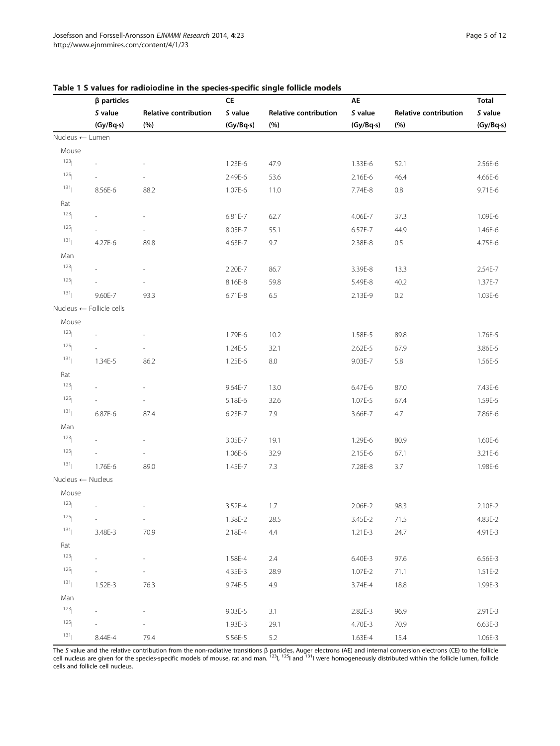|                            | $\beta$ particles            |                              | CE        |                              |           | AE                           |                  |
|----------------------------|------------------------------|------------------------------|-----------|------------------------------|-----------|------------------------------|------------------|
|                            | S value                      | <b>Relative contribution</b> | S value   | <b>Relative contribution</b> | S value   | <b>Relative contribution</b> | S value          |
|                            | (Gy/Bq·s)                    | (%)                          | (Gy/Bq·s) | (%)                          | (Gy/Bq·s) | (%)                          | $(Gy/Bq\cdot s)$ |
| Nucleus $\leftarrow$ Lumen |                              |                              |           |                              |           |                              |                  |
| Mouse                      |                              |                              |           |                              |           |                              |                  |
| 123                        |                              |                              | 1.23E-6   | 47.9                         | 1.33E-6   | 52.1                         | 2.56E-6          |
| 125                        |                              |                              | 2.49E-6   | 53.6                         | 2.16E-6   | 46.4                         | 4.66E-6          |
| 131                        | 8.56E-6                      | 88.2                         | 1.07E-6   | 11.0                         | 7.74E-8   | 0.8                          | 9.71E-6          |
| Rat                        |                              |                              |           |                              |           |                              |                  |
| 123                        |                              |                              | 6.81E-7   | 62.7                         | 4.06E-7   | 37.3                         | 1.09E-6          |
| 125                        |                              |                              | 8.05E-7   | 55.1                         | 6.57E-7   | 44.9                         | 1.46E-6          |
| 131                        | 4.27E-6                      | 89.8                         | 4.63E-7   | 9.7                          | 2.38E-8   | 0.5                          | 4.75E-6          |
| Man                        |                              |                              |           |                              |           |                              |                  |
| 123                        |                              |                              | 2.20E-7   | 86.7                         | 3.39E-8   | 13.3                         | 2.54E-7          |
| 125                        |                              |                              | 8.16E-8   | 59.8                         | 5.49E-8   | 40.2                         | 1.37E-7          |
| 131                        | 9.60E-7                      | 93.3                         | 6.71E-8   | 6.5                          | 2.13E-9   | 0.2                          | 1.03E-6          |
|                            | Nucleus ← Follicle cells     |                              |           |                              |           |                              |                  |
| Mouse                      |                              |                              |           |                              |           |                              |                  |
| 123                        |                              |                              | 1.79E-6   | 10.2                         | 1.58E-5   | 89.8                         | 1.76E-5          |
| 125                        |                              |                              | 1.24E-5   | 32.1                         | 2.62E-5   | 67.9                         | 3.86E-5          |
| 131                        | 1.34E-5                      | 86.2                         | 1.25E-6   | 8.0                          | 9.03E-7   | 5.8                          | 1.56E-5          |
| Rat                        |                              |                              |           |                              |           |                              |                  |
| 123                        |                              |                              | 9.64E-7   | 13.0                         | 6.47E-6   | 87.0                         | 7.43E-6          |
| 125                        |                              |                              | 5.18E-6   | 32.6                         | 1.07E-5   | 67.4                         | 1.59E-5          |
| 131                        | 6.87E-6                      | 87.4                         | 6.23E-7   | 7.9                          | 3.66E-7   | 4.7                          | 7.86E-6          |
| Man                        |                              |                              |           |                              |           |                              |                  |
| 123                        |                              |                              | 3.05E-7   | 19.1                         | 1.29E-6   | 80.9                         | 1.60E-6          |
| 125                        |                              |                              | 1.06E-6   | 32.9                         | 2.15E-6   | 67.1                         | 3.21E-6          |
| 131                        | 1.76E-6                      | 89.0                         | 1.45E-7   | 7.3                          | 7.28E-8   | 3.7                          | 1.98E-6          |
|                            | Nucleus $\leftarrow$ Nucleus |                              |           |                              |           |                              |                  |
| Mouse                      |                              |                              |           |                              |           |                              |                  |
| 123                        |                              |                              | 3.52E-4   | 1.7                          | 2.06E-2   | 98.3                         | 2.10E-2          |
| 125                        |                              | $\sim$                       | 1.38E-2   | 28.5                         | 3.45E-2   | $71.5\,$                     | $4.83E-2$        |
| 131                        | 3.48E-3                      | 70.9                         | 2.18E-4   | $4.4\,$                      | 1.21E-3   | 24.7                         | 4.91E-3          |
| Rat                        |                              |                              |           |                              |           |                              |                  |
| 123                        |                              |                              | 1.58E-4   | 2.4                          | 6.40E-3   | 97.6                         | 6.56E-3          |
| 125                        |                              | $\overline{\phantom{a}}$     | 4.35E-3   | 28.9                         | 1.07E-2   | 71.1                         | 1.51E-2          |
| 131                        | $1.52E-3$                    | 76.3                         | 9.74E-5   | 4.9                          | 3.74E-4   | 18.8                         | 1.99E-3          |
| Man                        |                              |                              |           |                              |           |                              |                  |
| 123                        |                              |                              | 9.03E-5   | 3.1                          | 2.82E-3   | 96.9                         | 2.91E-3          |
| 125                        |                              |                              | 1.93E-3   | 29.1                         | 4.70E-3   | 70.9                         | 6.63E-3          |
| 131                        |                              |                              |           |                              |           |                              |                  |
|                            | 8.44E-4                      | 79.4                         | 5.56E-5   | $5.2\,$                      | 1.63E-4   | 15.4                         | 1.06E-3          |

#### <span id="page-4-0"></span>Table 1 S values for radioiodine in the species-specific single follicle models

The S value and the relative contribution from the non-radiative transitions β particles, Auger electrons (AE) and internal conversion electrons (CE) to the follicle<br>cell nucleus are given for the species-specific models o cells and follicle cell nucleus.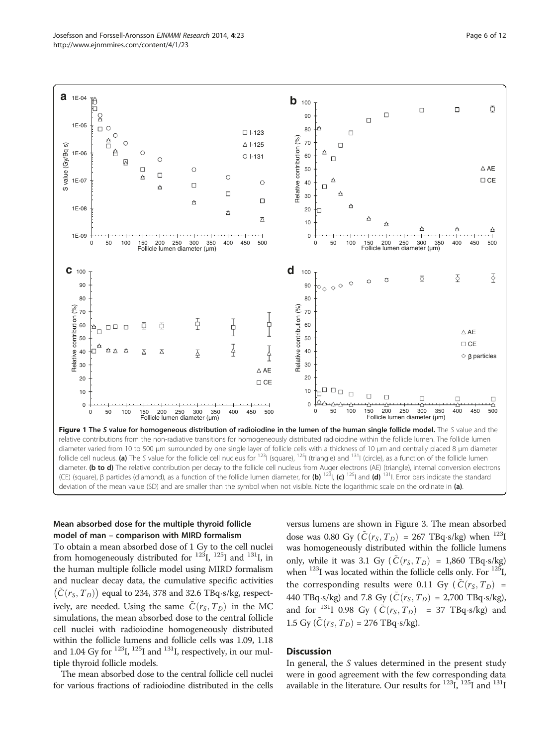<span id="page-5-0"></span>

## Mean absorbed dose for the multiple thyroid follicle model of man – comparison with MIRD formalism

To obtain a mean absorbed dose of 1 Gy to the cell nuclei from homogeneously distributed for  $^{123}I$ ,  $^{125}I$  and  $^{131}I$ , in the human multiple follicle model using MIRD formalism and nuclear decay data, the cumulative specific activities  $(\tilde{C}(r_S, T_D))$  equal to 234, 378 and 32.6 TBq⋅s/kg, respectively, are needed. Using the same  $C(r_S, T_D)$  in the MC simulations, the mean absorbed dose to the central follicle cell nuclei with radioiodine homogeneously distributed within the follicle lumens and follicle cells was 1.09, 1.18 and 1.04 Gy for  $^{123}$ I,  $^{125}$ I and  $^{131}$ I, respectively, in our multiple thyroid follicle models.

The mean absorbed dose to the central follicle cell nuclei for various fractions of radioiodine distributed in the cells

versus lumens are shown in Figure [3](#page-8-0). The mean absorbed dose was 0.80 Gy ( $\tilde{C}(r_S, T_D) = 267$  TBq⋅s/kg) when <sup>123</sup>I was homogeneously distributed within the follicle lumens only, while it was 3.1 Gy ( $\tilde{C}(r_S, T_D) = 1,860$  TBq⋅s/kg) when  $^{123}$ I was located within the follicle cells only. For  $^{125}$ I, the corresponding results were 0.11 Gy ( $\tilde{C}(r_S, T_D)$  = 440 TBq⋅s/kg) and 7.8 Gy ( $\tilde{C}(r_S, T_D) = 2,700$  TBq⋅s/kg), and for  $^{131}$ I 0.98 Gy ( $\tilde{C}(r_S, T_D)$  = 37 TBq⋅s/kg) and 1.5 Gy ( $\tilde{C}(r_S, T_D) = 276$  TBq⋅s/kg).

# **Discussion**

In general, the S values determined in the present study were in good agreement with the few corresponding data available in the literature. Our results for  $^{123}I$ ,  $^{125}I$  and  $^{131}I$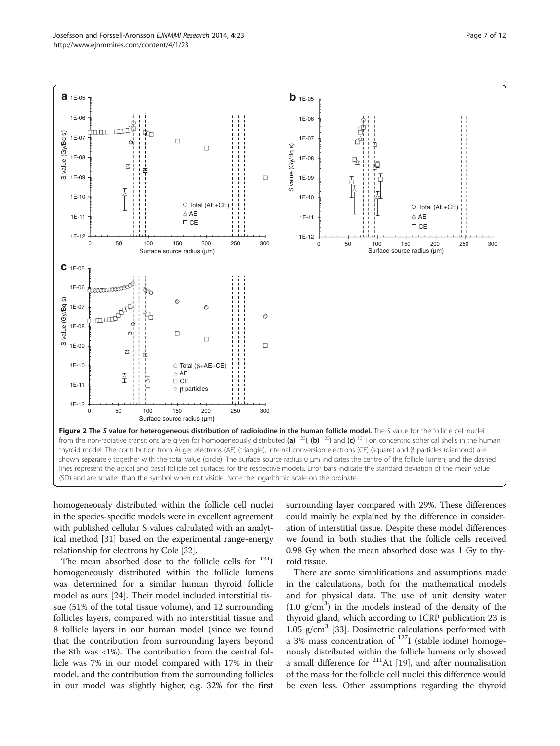<span id="page-6-0"></span>

homogeneously distributed within the follicle cell nuclei in the species-specific models were in excellent agreement with published cellular S values calculated with an analytical method [\[31\]](#page-10-0) based on the experimental range-energy relationship for electrons by Cole [\[32](#page-10-0)].

The mean absorbed dose to the follicle cells for  $^{131}I$ homogeneously distributed within the follicle lumens was determined for a similar human thyroid follicle model as ours [\[24](#page-10-0)]. Their model included interstitial tissue (51% of the total tissue volume), and 12 surrounding follicles layers, compared with no interstitial tissue and 8 follicle layers in our human model (since we found that the contribution from surrounding layers beyond the 8th was <1%). The contribution from the central follicle was 7% in our model compared with 17% in their model, and the contribution from the surrounding follicles in our model was slightly higher, e.g. 32% for the first

surrounding layer compared with 29%. These differences could mainly be explained by the difference in consideration of interstitial tissue. Despite these model differences we found in both studies that the follicle cells received 0.98 Gy when the mean absorbed dose was 1 Gy to thyroid tissue.

There are some simplifications and assumptions made in the calculations, both for the mathematical models and for physical data. The use of unit density water  $(1.0 \text{ g/cm}^3)$  in the models instead of the density of the thyroid gland, which according to ICRP publication 23 is 1.05  $g/cm<sup>3</sup>$  [\[33\]](#page-10-0). Dosimetric calculations performed with a 3% mass concentration of 127I (stable iodine) homogenously distributed within the follicle lumens only showed a small difference for  $^{211}$ At [\[19\]](#page-10-0), and after normalisation of the mass for the follicle cell nuclei this difference would be even less. Other assumptions regarding the thyroid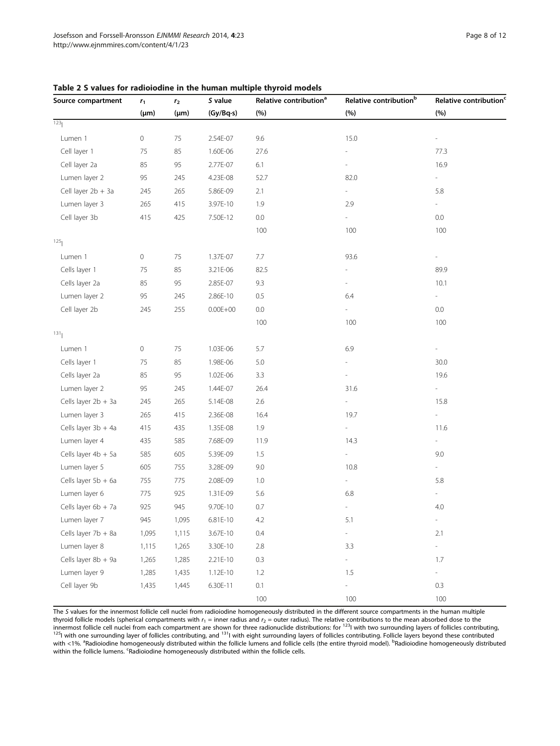| Source compartment   | r <sub>1</sub>      | r <sub>2</sub> | S value      | Relative contribution <sup>a</sup> | Relative contribution <sup>b</sup> | Relative contribution <sup>c</sup> |  |
|----------------------|---------------------|----------------|--------------|------------------------------------|------------------------------------|------------------------------------|--|
|                      | $(\mu m)$           | $(\mu m)$      | (Gy/Bq·s)    | (%)                                | (%)                                | (%)                                |  |
| $\overline{123}$     |                     |                |              |                                    |                                    |                                    |  |
| Lumen 1              | $\mathsf{O}\xspace$ | 75             | 2.54E-07     | 9.6                                | 15.0                               |                                    |  |
| Cell layer 1         | 75                  | 85             | 1.60E-06     | 27.6                               | $\overline{\phantom{a}}$           | 77.3                               |  |
| Cell layer 2a        | 85                  | 95             | 2.77E-07     | 6.1                                | $\overline{\phantom{a}}$           | 16.9                               |  |
| Lumen layer 2        | 95                  | 245            | 4.23E-08     | 52.7                               | 82.0                               | $\sim$                             |  |
| Cell layer $2b + 3a$ | 245                 | 265            | 5.86E-09     | 2.1                                | $\overline{\phantom{a}}$           | 5.8                                |  |
| Lumen layer 3        | 265                 | 415            | 3.97E-10     | 1.9                                | 2.9                                | $\overline{\phantom{a}}$           |  |
| Cell layer 3b        | 415                 | 425            | 7.50E-12     | $0.0\,$                            |                                    | 0.0                                |  |
|                      |                     |                |              | 100                                | 100                                | 100                                |  |
| 125                  |                     |                |              |                                    |                                    |                                    |  |
| Lumen 1              | 0                   | 75             | 1.37E-07     | 7.7                                | 93.6                               | $\overline{\phantom{m}}$           |  |
| Cells layer 1        | 75                  | 85             | 3.21E-06     | 82.5                               |                                    | 89.9                               |  |
| Cells layer 2a       | 85                  | 95             | 2.85E-07     | 9.3                                | $\overline{\phantom{a}}$           | 10.1                               |  |
| Lumen layer 2        | 95                  | 245            | 2.86E-10     | 0.5                                | 6.4                                | $\overline{\phantom{a}}$           |  |
| Cell layer 2b        | 245                 | 255            | $0.00E + 00$ | 0.0                                |                                    | 0.0                                |  |
|                      |                     |                |              | 100                                | 100                                | 100                                |  |
| 131                  |                     |                |              |                                    |                                    |                                    |  |
| Lumen 1              | 0                   | 75             | 1.03E-06     | 5.7                                | 6.9                                | $\overline{\phantom{a}}$           |  |
| Cells layer 1        | 75                  | 85             | 1.98E-06     | $5.0\,$                            |                                    | 30.0                               |  |
| Cells layer 2a       | 85                  | 95             | 1.02E-06     | 3.3                                | $\overline{\phantom{a}}$           | 19.6                               |  |
| Lumen layer 2        | 95                  | 245            | 1.44E-07     | 26.4                               | 31.6                               | $\overline{\phantom{a}}$           |  |
| Cells layer 2b + 3a  | 245                 | 265            | 5.14E-08     | 2.6                                | ÷,                                 | 15.8                               |  |
| Lumen layer 3        | 265                 | 415            | 2.36E-08     | 16.4                               | 19.7                               | $\overline{\phantom{a}}$           |  |
| Cells layer 3b + 4a  | 415                 | 435            | 1.35E-08     | 1.9                                | ä,                                 | 11.6                               |  |
| Lumen layer 4        | 435                 | 585            | 7.68E-09     | 11.9                               | 14.3                               | $\overline{\phantom{a}}$           |  |
| Cells layer 4b + 5a  | 585                 | 605            | 5.39E-09     | 1.5                                | $\overline{\phantom{a}}$           | 9.0                                |  |
| Lumen layer 5        | 605                 | 755            | 3.28E-09     | 9.0                                | 10.8                               | $\overline{\phantom{a}}$           |  |
| Cells layer 5b + 6a  | 755                 | 775            | 2.08E-09     | 1.0                                | ÷,                                 | 5.8                                |  |
| Lumen layer 6        | 775                 | 925            | 1.31E-09     | 5.6                                | 6.8                                | $\overline{\phantom{a}}$           |  |
| Cells layer 6b + 7a  | 925                 | 945            | 9.70E-10     | 0.7                                | $\frac{1}{2}$                      | 4.0                                |  |
| Lumen layer 7        | 945                 | 1,095          | 6.81E-10     | 4.2                                | 5.1                                | $\overline{\phantom{m}}$           |  |
| Cells layer 7b + 8a  | 1,095               | 1,115          | 3.67E-10     | $0.4\,$                            | ۳                                  | 2.1                                |  |
| Lumen layer 8        | 1,115               | 1,265          | 3.30E-10     | $2.8\,$                            | 3.3                                | $\overline{\phantom{a}}$           |  |
| Cells layer 8b + 9a  | 1,265               | 1,285          | $2.21E-10$   | $0.3\,$                            |                                    | $1.7\,$                            |  |
| Lumen layer 9        | 1,285               | 1,435          | 1.12E-10     | $1.2\,$                            | 1.5                                | ÷,                                 |  |
| Cell layer 9b        | 1,435               | 1,445          | 6.30E-11     | 0.1                                | L,                                 | 0.3                                |  |
|                      |                     |                |              | $100\,$                            | 100                                | 100                                |  |

<span id="page-7-0"></span>Table 2 S values for radioiodine in the human multiple thyroid models

The S values for the innermost follicle cell nuclei from radioiodine homogeneously distributed in the different source compartments in the human multiple thyroid follicle models (spherical compartments with  $r_1 =$  inner radius and  $r_2 =$  outer radius). The relative contributions to the mean absorbed dose to the Intermost follicle cell nuclei from each compartment are shown for three radionuclide distributions: for  $^{125}$  with two surrounding layers of follicles contributing,<br><sup>125</sup>l with one surrounding layer of follicles contri with <1%. <sup>a</sup>Radioiodine homogeneously distributed within the follicle lumens and follicle cells (the entire thyroid model). <sup>b</sup>Radioiodine homogeneously distributed within the follicle lumens. <sup>c</sup>Radioiodine homogeneously distributed within the follicle cells.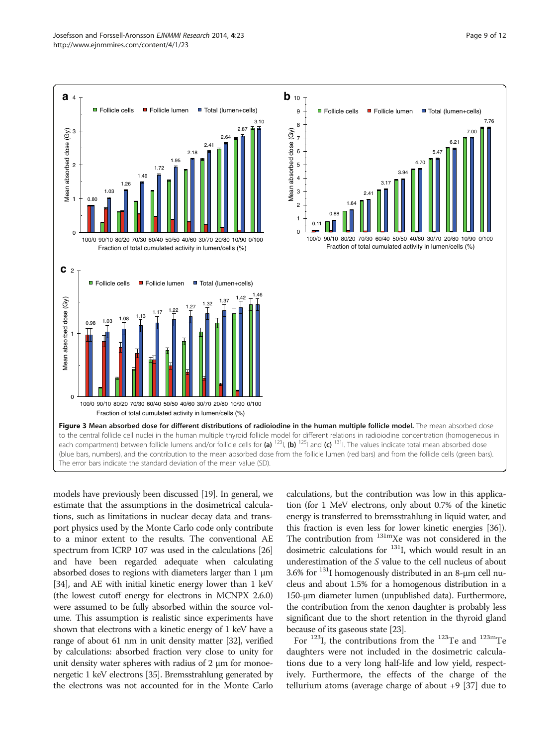<span id="page-8-0"></span>

models have previously been discussed [\[19](#page-10-0)]. In general, we estimate that the assumptions in the dosimetrical calculations, such as limitations in nuclear decay data and transport physics used by the Monte Carlo code only contribute to a minor extent to the results. The conventional AE spectrum from ICRP 107 was used in the calculations [\[26](#page-10-0)] and have been regarded adequate when calculating absorbed doses to regions with diameters larger than 1 μm [[34](#page-10-0)], and AE with initial kinetic energy lower than 1 keV (the lowest cutoff energy for electrons in MCNPX 2.6.0) were assumed to be fully absorbed within the source volume. This assumption is realistic since experiments have shown that electrons with a kinetic energy of 1 keV have a range of about 61 nm in unit density matter [\[32\]](#page-10-0), verified by calculations: absorbed fraction very close to unity for unit density water spheres with radius of 2 μm for monoenergetic 1 keV electrons [[35](#page-10-0)]. Bremsstrahlung generated by the electrons was not accounted for in the Monte Carlo

calculations, but the contribution was low in this application (for 1 MeV electrons, only about 0.7% of the kinetic energy is transferred to bremsstrahlung in liquid water, and this fraction is even less for lower kinetic energies [\[36](#page-10-0)]). The contribution from 131mXe was not considered in the dosimetric calculations for 131I, which would result in an underestimation of the S value to the cell nucleus of about 3.6% for  $^{131}$ I homogenously distributed in an 8-µm cell nucleus and about 1.5% for a homogenous distribution in a 150-μm diameter lumen (unpublished data). Furthermore, the contribution from the xenon daughter is probably less significant due to the short retention in the thyroid gland because of its gaseous state [\[23\]](#page-10-0).

For  $^{123}$ I, the contributions from the  $^{123}$ Te and  $^{123m}$ Te daughters were not included in the dosimetric calculations due to a very long half-life and low yield, respectively. Furthermore, the effects of the charge of the tellurium atoms (average charge of about +9 [[37\]](#page-10-0) due to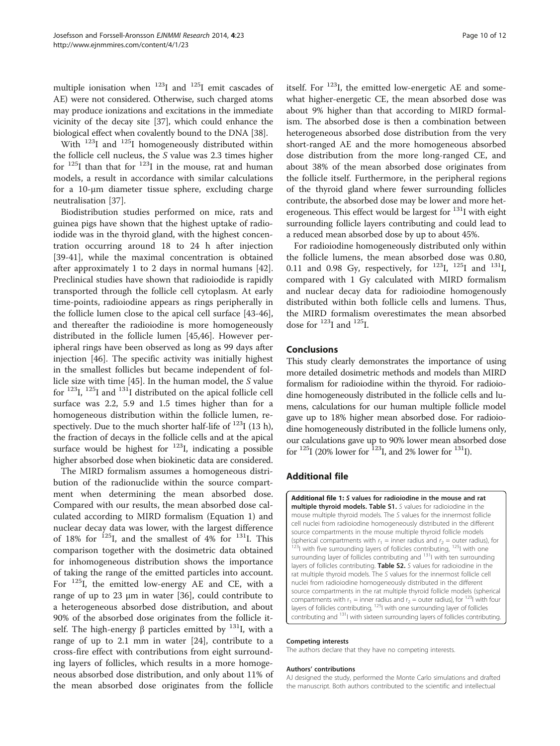<span id="page-9-0"></span>multiple ionisation when 123I and 125I emit cascades of AE) were not considered. Otherwise, such charged atoms may produce ionizations and excitations in the immediate vicinity of the decay site [[37](#page-10-0)], which could enhance the biological effect when covalently bound to the DNA [\[38\]](#page-10-0).

With <sup>123</sup>I and <sup>125</sup>I homogeneously distributed within the follicle cell nucleus, the  $S$  value was 2.3 times higher for  $125$ I than that for  $123$ I in the mouse, rat and human models, a result in accordance with similar calculations for a 10-μm diameter tissue sphere, excluding charge neutralisation [[37\]](#page-10-0).

Biodistribution studies performed on mice, rats and guinea pigs have shown that the highest uptake of radioiodide was in the thyroid gland, with the highest concentration occurring around 18 to 24 h after injection [[39-41](#page-11-0)], while the maximal concentration is obtained after approximately 1 to 2 days in normal humans [\[42](#page-11-0)]. Preclinical studies have shown that radioiodide is rapidly transported through the follicle cell cytoplasm. At early time-points, radioiodine appears as rings peripherally in the follicle lumen close to the apical cell surface [\[43-46](#page-11-0)], and thereafter the radioiodine is more homogeneously distributed in the follicle lumen [[45,46\]](#page-11-0). However peripheral rings have been observed as long as 99 days after injection [[46\]](#page-11-0). The specific activity was initially highest in the smallest follicles but became independent of follicle size with time [[45\]](#page-11-0). In the human model, the S value for 123I, 125I and 131I distributed on the apical follicle cell surface was 2.2, 5.9 and 1.5 times higher than for a homogeneous distribution within the follicle lumen, respectively. Due to the much shorter half-life of  $^{123}$ I (13 h), the fraction of decays in the follicle cells and at the apical surface would be highest for  $123I$ , indicating a possible higher absorbed dose when biokinetic data are considered.

The MIRD formalism assumes a homogeneous distribution of the radionuclide within the source compartment when determining the mean absorbed dose. Compared with our results, the mean absorbed dose calculated according to MIRD formalism (Equation [1\)](#page-2-0) and nuclear decay data was lower, with the largest difference of 18% for  $125$ <sub>I</sub>, and the smallest of 4% for  $131$ <sub>I</sub>. This comparison together with the dosimetric data obtained for inhomogeneous distribution shows the importance of taking the range of the emitted particles into account. For  $^{125}$ I, the emitted low-energy AE and CE, with a range of up to 23 μm in water [[36](#page-10-0)], could contribute to a heterogeneous absorbed dose distribution, and about 90% of the absorbed dose originates from the follicle itself. The high-energy β particles emitted by  $131$ , with a range of up to 2.1 mm in water [\[24\]](#page-10-0), contribute to a cross-fire effect with contributions from eight surrounding layers of follicles, which results in a more homogeneous absorbed dose distribution, and only about 11% of the mean absorbed dose originates from the follicle itself. For  $123$ I, the emitted low-energetic AE and somewhat higher-energetic CE, the mean absorbed dose was about 9% higher than that according to MIRD formalism. The absorbed dose is then a combination between heterogeneous absorbed dose distribution from the very short-ranged AE and the more homogeneous absorbed dose distribution from the more long-ranged CE, and about 38% of the mean absorbed dose originates from the follicle itself. Furthermore, in the peripheral regions of the thyroid gland where fewer surrounding follicles contribute, the absorbed dose may be lower and more heterogeneous. This effect would be largest for  $131$  with eight surrounding follicle layers contributing and could lead to a reduced mean absorbed dose by up to about 45%.

For radioiodine homogeneously distributed only within the follicle lumens, the mean absorbed dose was 0.80, 0.11 and 0.98 Gy, respectively, for  $^{123}$ I,  $^{125}$ I and  $^{131}$ I, compared with 1 Gy calculated with MIRD formalism and nuclear decay data for radioiodine homogenously distributed within both follicle cells and lumens. Thus, the MIRD formalism overestimates the mean absorbed dose for  $^{123}$ I and  $^{125}$ I.

#### Conclusions

This study clearly demonstrates the importance of using more detailed dosimetric methods and models than MIRD formalism for radioiodine within the thyroid. For radioiodine homogeneously distributed in the follicle cells and lumens, calculations for our human multiple follicle model gave up to 18% higher mean absorbed dose. For radioiodine homogeneously distributed in the follicle lumens only, our calculations gave up to 90% lower mean absorbed dose for  $^{125}$ I (20% lower for  $^{123}$ I, and 2% lower for  $^{131}$ I).

## Additional file

[Additional file 1:](http://www.biomedcentral.com/content/supplementary/13550_2014_23_MOESM1_ESM.docx) S values for radioiodine in the mouse and rat multiple thyroid models. Table S1. S values for radioiodine in the mouse multiple thyroid models. The S values for the innermost follicle cell nuclei from radioiodine homogeneously distributed in the different source compartments in the mouse multiple thyroid follicle models (spherical compartments with  $r_1$  = inner radius and  $r_2$  = outer radius), for <sup>125</sup>I with one 1<sup>23</sup>I with one surrounding layer of follicles contributing and <sup>131</sup>I with ten surrounding layers of follicles contributing. Table S2. S values for radioiodine in the rat multiple thyroid models. The S values for the innermost follicle cell nuclei from radioiodine homogeneously distributed in the different source compartments in the rat multiple thyroid follicle models (spherical compartments with  $r_1$  = inner radius and  $r_2$  = outer radius), for <sup>123</sup>l with four layers of follicles contributing, <sup>125</sup>l with one surrounding layer of follicles contributing and <sup>131</sup>I with sixteen surrounding layers of follicles contributing.

#### Competing interests

The authors declare that they have no competing interests.

#### Authors' contributions

AJ designed the study, performed the Monte Carlo simulations and drafted the manuscript. Both authors contributed to the scientific and intellectual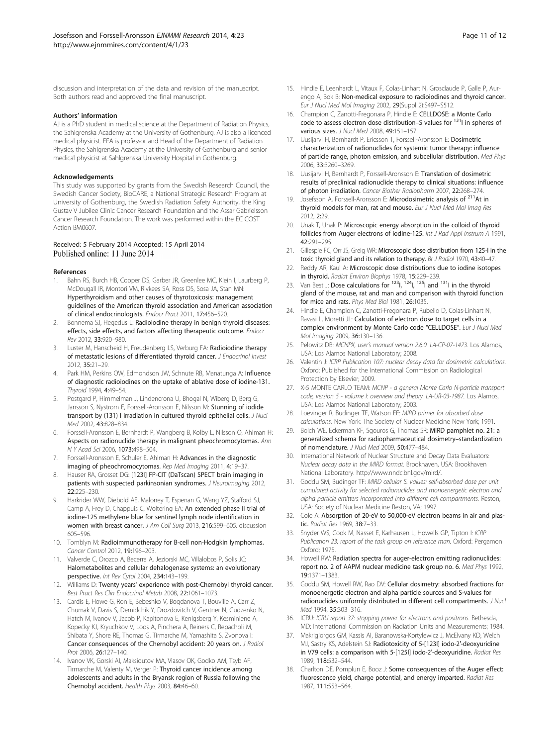<span id="page-10-0"></span>discussion and interpretation of the data and revision of the manuscript. Both authors read and approved the final manuscript.

#### Authors' information

AJ is a PhD student in medical science at the Department of Radiation Physics, the Sahlgrenska Academy at the University of Gothenburg. AJ is also a licenced medical physicist. EFA is professor and Head of the Department of Radiation Physics, the Sahlgrenska Academy at the University of Gothenburg and senior medical physicist at Sahlgrenska University Hospital in Gothenburg.

#### Acknowledgements

This study was supported by grants from the Swedish Research Council, the Swedish Cancer Society, BioCARE, a National Strategic Research Program at University of Gothenburg, the Swedish Radiation Safety Authority, the King Gustav V Jubilee Clinic Cancer Research Foundation and the Assar Gabrielsson Cancer Research Foundation. The work was performed within the EC COST Action BM0607.

# Received: 5 February 2014 Accepted: 15 April 2014

#### References

- 1. Bahn RS, Burch HB, Cooper DS, Garber JR, Greenlee MC, Klein I, Laurberg P, McDougall IR, Montori VM, Rivkees SA, Ross DS, Sosa JA, Stan MN: Hyperthyroidism and other causes of thyrotoxicosis: management guidelines of the American thyroid association and American association of clinical endocrinologists. Endocr Pract 2011, 17:456–520.
- 2. Bonnema SJ, Hegedus L: Radioiodine therapy in benign thyroid diseases: effects, side effects, and factors affecting therapeutic outcome. Endocr Rev 2012, 33:920–980.
- Luster M, Hanscheid H, Freudenberg LS, Verburg FA: Radioiodine therapy of metastatic lesions of differentiated thyroid cancer. J Endocrinol Invest 2012, 35:21–29.
- Park HM, Perkins OW, Edmondson JW, Schnute RB, Manatunga A: Influence of diagnostic radioiodines on the uptake of ablative dose of iodine-131. Thyroid 1994, 4:49–54.
- 5. Postgard P, Himmelman J, Lindencrona U, Bhogal N, Wiberg D, Berg G, Jansson S, Nystrom E, Forssell-Aronsson E, Nilsson M: Stunning of iodide transport by (131) I irradiation in cultured thyroid epithelial cells. *J Nucl* Med 2002, 43:828–834.
- Forssell-Aronsson E, Bernhardt P, Wangberg B, Kolby L, Nilsson O, Ahlman H: Aspects on radionuclide therapy in malignant pheochromocytomas. Ann N Y Acad Sci 2006, 1073:498–504.
- 7. Forssell-Aronsson E, Schuler E, Ahlman H: Advances in the diagnostic imaging of pheochromocytomas. Rep Med Imaging 2011, 4:19–37.
- 8. Hauser RA, Grosset DG: [123I] FP-CIT (DaTscan) SPECT brain imaging in patients with suspected parkinsonian syndromes. J Neuroimaging 2012, 22:225–230.
- 9. Harkrider WW, Diebold AE, Maloney T, Espenan G, Wang YZ, Stafford SJ, Camp A, Frey D, Chappuis C, Woltering EA: An extended phase II trial of iodine-125 methylene blue for sentinel lymph node identification in women with breast cancer. J Am Coll Surg 2013, 216:599-605. discussion 605–596.
- 10. Tomblyn M: Radioimmunotherapy for B-cell non-Hodgkin lymphomas. Cancer Control 2012, 19:196–203.
- 11. Valverde C, Orozco A, Becerra A, Jeziorski MC, Villalobos P, Solis JC: Halometabolites and cellular dehalogenase systems: an evolutionary perspective. Int Rev Cytol 2004, 234:143–199.
- 12. Williams D: Twenty years' experience with post-Chernobyl thyroid cancer. Best Pract Res Clin Endocrinol Metab 2008, 22:1061–1073.
- 13. Cardis E, Howe G, Ron E, Bebeshko V, Bogdanova T, Bouville A, Carr Z, Chumak V, Davis S, Demidchik Y, Drozdovitch V, Gentner N, Gudzenko N, Hatch M, Ivanov V, Jacob P, Kapitonova E, Kenigsberg Y, Kesminiene A, Kopecky KJ, Kryuchkov V, Loos A, Pinchera A, Reiners C, Repacholi M, Shibata Y, Shore RE, Thomas G, Tirmarche M, Yamashita S, Zvonova I: Cancer consequences of the Chernobyl accident: 20 years on. J Radiol Prot 2006, 26:127–140.
- 14. Ivanov VK, Gorski AI, Maksioutov MA, Vlasov OK, Godko AM, Tsyb AF, Tirmarche M, Valenty M, Verger P: Thyroid cancer incidence among adolescents and adults in the Bryansk region of Russia following the Chernobyl accident. Health Phys 2003, 84:46–60.
- 15. Hindie E, Leenhardt L, Vitaux F, Colas-Linhart N, Grosclaude P, Galle P, Aurengo A, Bok B: Non-medical exposure to radioiodines and thyroid cancer. Eur J Nucl Med Mol Imaging 2002, 29(Suppl 2):S497–S512.
- 16. Champion C, Zanotti-Fregonara P, Hindie E: CELLDOSE: a Monte Carlo code to assess electron dose distribution–S values for <sup>131</sup>l in spheres of various sizes. J Nucl Med 2008, 49:151-157.
- 17. Uusijarvi H, Bernhardt P, Ericsson T, Forssell-Aronsson E: Dosimetric characterization of radionuclides for systemic tumor therapy: influence of particle range, photon emission, and subcellular distribution. Med Phys 2006, 33:3260–3269.
- 18. Uusijarvi H, Bernhardt P, Forssell-Aronsson E: Translation of dosimetric results of preclinical radionuclide therapy to clinical situations: influence of photon irradiation. Cancer Biother Radiopharm 2007, 22:268–274.
- 19. Josefsson A, Forssell-Aronsson E: Microdosimetric analysis of <sup>211</sup>At in thyroid models for man, rat and mouse. Eur J Nucl Med Mol Imag Res 2012, 2:29.
- 20. Unak T, Unak P: Microscopic energy absorption in the colloid of thyroid follicles from Auger electrons of iodine-125. Int J Rad Appl Instrum A 1991, 42:291–295.
- 21. Gillespie FC, Orr JS, Greig WR: Microscopic dose distribution from 125-I in the toxic thyroid gland and its relation to therapy. Br J Radiol 1970, 43:40-47.
- 22. Reddy AR, Kaul A: Microscopic dose distributions due to iodine isotopes in thyroid. Radiat Environ Biophys 1978, 15:229–239.
- 23. Van Best J: Dose calculations for  $^{123}$ I,  $^{124}$ I,  $^{125}$ I and  $^{131}$ I in the thyroid gland of the mouse, rat and man and comparison with thyroid function for mice and rats. Phys Med Biol 1981, 26:1035.
- 24. Hindie E, Champion C, Zanotti-Fregonara P, Rubello D, Colas-Linhart N, Ravasi L, Moretti JL: Calculation of electron dose to target cells in a complex environment by Monte Carlo code "CELLDOSE". Eur J Nucl Med Mol Imaging 2009, 36:130–136.
- 25. Pelowitz DB: MCNPX, user's manual version 2.6.0. LA-CP-07-1473. Los Alamos, USA: Los Alamos National Laboratory; 2008.
- 26. Valentin J: ICRP Publication 107: nuclear decay data for dosimetric calculations. Oxford: Published for the International Commission on Radiological Protection by Elsevier; 2009.
- 27. X-5 MONTE CARLO TEAM: MCNP a general Monte Carlo N-particle transport code, version 5 - volume I: overview and theory. LA-UR-03-1987. Los Alamos, USA: Los Alamos National Laboratory; 2003.
- 28. Loevinger R, Budinger TF, Watson EE: MIRD primer for absorbed dose calculations. New York: The Society of Nuclear Medicine New York; 1991.
- 29. Bolch WE, Eckerman KF, Sgouros G, Thomas SR: MIRD pamphlet no. 21: a generalized schema for radiopharmaceutical dosimetry–standardization of nomenclature. J Nucl Med 2009, 50:477–484.
- 30. International Network of Nuclear Structure and Decay Data Evaluators: Nuclear decay data in the MIRD format. Brookhaven, USA: Brookhaven National Laboratory. [http://www.nndc.bnl.gov/mird/.](http://www.nndc.bnl.gov/mird/)
- 31. Goddu SM, Budinger TF: MIRD cellular S. values: self-absorbed dose per unit cumulated activity for selected radionuclides and monoenergetic electron and alpha particle emitters incorporated into different cell compartments. Reston, USA: Society of Nuclear Medicine Reston, VA; 1997.
- 32. Cole A: Absorption of 20-eV to 50,000-eV electron beams in air and plastic. Radiat Res 1969, 38:7–33.
- 33. Snyder WS, Cook M, Nasset E, Karhausen L, Howells GP, Tipton I: ICRP Publication 23: report of the task group on reference man. Oxford: Pergamon Oxford; 1975.
- 34. Howell RW: Radiation spectra for auger-electron emitting radionuclides: report no. 2 of AAPM nuclear medicine task group no. 6. Med Phys 1992, 19:1371–1383.
- 35. Goddu SM, Howell RW, Rao DV: Cellular dosimetry: absorbed fractions for monoenergetic electron and alpha particle sources and S-values for radionuclides uniformly distributed in different cell compartments. J Nucl Med 1994, 35:303–316.
- 36. ICRU: ICRU report 37: stopping power for electrons and positrons. Bethesda, MD: International Commission on Radiation Units and Measurements; 1984.
- 37. Makrigiorgos GM, Kassis AI, Baranowska-Kortylewicz J, McElvany KD, Welch MJ, Sastry KS, Adelstein SJ: Radiotoxicity of 5-[123I] iodo-2′-deoxyuridine in V79 cells: a comparison with 5-[125I] iodo-2′-deoxyuridine. Radiat Res 1989, 118:532–544.
- 38. Charlton DE, Pomplun E, Booz J: Some consequences of the Auger effect: fluorescence yield, charge potential, and energy imparted. Radiat Res 1987, 111:553–564.